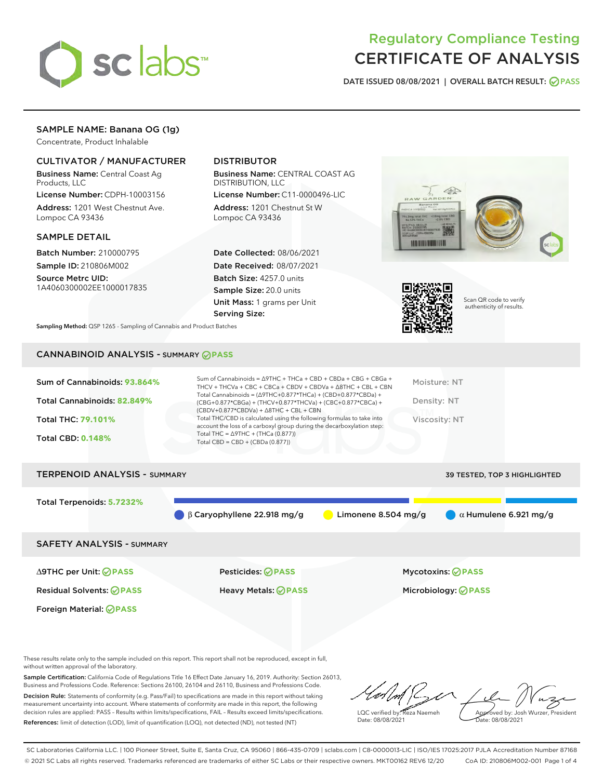

# Regulatory Compliance Testing CERTIFICATE OF ANALYSIS

DATE ISSUED 08/08/2021 | OVERALL BATCH RESULT: @ PASS

# SAMPLE NAME: Banana OG (1g)

Concentrate, Product Inhalable

# CULTIVATOR / MANUFACTURER

Business Name: Central Coast Ag Products, LLC

License Number: CDPH-10003156 Address: 1201 West Chestnut Ave. Lompoc CA 93436

#### SAMPLE DETAIL

Batch Number: 210000795 Sample ID: 210806M002 Source Metrc UID:

1A4060300002EE1000017835

# DISTRIBUTOR

Business Name: CENTRAL COAST AG DISTRIBUTION, LLC

License Number: C11-0000496-LIC Address: 1201 Chestnut St W Lompoc CA 93436

Date Collected: 08/06/2021 Date Received: 08/07/2021 Batch Size: 4257.0 units Sample Size: 20.0 units Unit Mass: 1 grams per Unit Serving Size:





Scan QR code to verify authenticity of results.

Sampling Method: QSP 1265 - Sampling of Cannabis and Product Batches

# CANNABINOID ANALYSIS - SUMMARY **PASS**

| Sum of Cannabinoids: 93.864% | Sum of Cannabinoids = $\triangle$ 9THC + THCa + CBD + CBDa + CBG + CBGa +<br>THCV + THCVa + CBC + CBCa + CBDV + CBDVa + $\Delta$ 8THC + CBL + CBN                                       | Moisture: NT  |
|------------------------------|-----------------------------------------------------------------------------------------------------------------------------------------------------------------------------------------|---------------|
| Total Cannabinoids: 82.849%  | Total Cannabinoids = $(\Delta$ 9THC+0.877*THCa) + $(CBD+0.877$ *CBDa) +<br>(CBG+0.877*CBGa) + (THCV+0.877*THCVa) + (CBC+0.877*CBCa) +<br>$(CBDV+0.877*CBDVa) + \Delta 8THC + CBL + CBN$ | Density: NT   |
| <b>Total THC: 79.101%</b>    | Total THC/CBD is calculated using the following formulas to take into<br>account the loss of a carboxyl group during the decarboxylation step:                                          | Viscosity: NT |
| <b>Total CBD: 0.148%</b>     | Total THC = $\triangle$ 9THC + (THCa (0.877))<br>Total CBD = $CBD + (CBDa (0.877))$                                                                                                     |               |
|                              |                                                                                                                                                                                         |               |

# TERPENOID ANALYSIS - SUMMARY 39 TESTED, TOP 3 HIGHLIGHTED Total Terpenoids: **5.7232%** β Caryophyllene 22.918 mg/g Limonene 8.504 mg/g α Humulene 6.921 mg/g SAFETY ANALYSIS - SUMMARY

Foreign Material: **PASS**

Residual Solvents: **PASS** Heavy Metals: **PASS** Microbiology: **PASS**

∆9THC per Unit: **PASS** Pesticides: **PASS** Mycotoxins: **PASS**

These results relate only to the sample included on this report. This report shall not be reproduced, except in full, without written approval of the laboratory.

Sample Certification: California Code of Regulations Title 16 Effect Date January 16, 2019. Authority: Section 26013, Business and Professions Code. Reference: Sections 26100, 26104 and 26110, Business and Professions Code. Decision Rule: Statements of conformity (e.g. Pass/Fail) to specifications are made in this report without taking measurement uncertainty into account. Where statements of conformity are made in this report, the following decision rules are applied: PASS – Results within limits/specifications, FAIL – Results exceed limits/specifications.

References: limit of detection (LOD), limit of quantification (LOQ), not detected (ND), not tested (NT)

LQC verified by: Reza Naemeh Date: 08/08/2021 Approved by: Josh Wurzer, President Date: 08/08/2021

SC Laboratories California LLC. | 100 Pioneer Street, Suite E, Santa Cruz, CA 95060 | 866-435-0709 | sclabs.com | C8-0000013-LIC | ISO/IES 17025:2017 PJLA Accreditation Number 87168 © 2021 SC Labs all rights reserved. Trademarks referenced are trademarks of either SC Labs or their respective owners. MKT00162 REV6 12/20 CoA ID: 210806M002-001 Page 1 of 4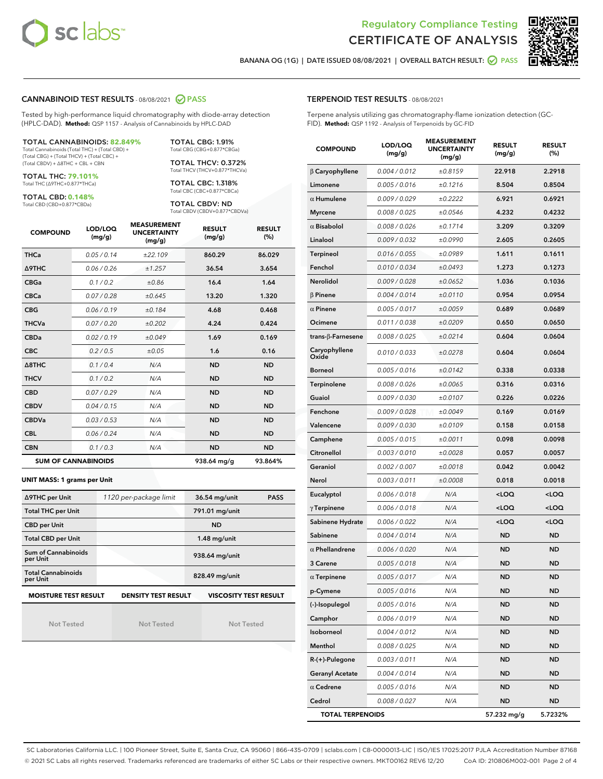



BANANA OG (1G) | DATE ISSUED 08/08/2021 | OVERALL BATCH RESULT: @ PASS

#### CANNABINOID TEST RESULTS - 08/08/2021 2 PASS

Tested by high-performance liquid chromatography with diode-array detection (HPLC-DAD). **Method:** QSP 1157 - Analysis of Cannabinoids by HPLC-DAD

#### TOTAL CANNABINOIDS: **82.849%**

Total Cannabinoids (Total THC) + (Total CBD) + (Total CBG) + (Total THCV) + (Total CBC) + (Total CBDV) + ∆8THC + CBL + CBN

TOTAL THC: **79.101%** Total THC (∆9THC+0.877\*THCa)

TOTAL CBD: **0.148%**

Total CBD (CBD+0.877\*CBDa)

TOTAL CBG: 1.91% Total CBG (CBG+0.877\*CBGa)

TOTAL THCV: 0.372% Total THCV (THCV+0.877\*THCVa)

TOTAL CBC: 1.318% Total CBC (CBC+0.877\*CBCa)

TOTAL CBDV: ND Total CBDV (CBDV+0.877\*CBDVa)

| <b>COMPOUND</b>  | LOD/LOQ<br>(mg/g)          | <b>MEASUREMENT</b><br><b>UNCERTAINTY</b><br>(mg/g) | <b>RESULT</b><br>(mg/g) | <b>RESULT</b><br>(%) |
|------------------|----------------------------|----------------------------------------------------|-------------------------|----------------------|
| <b>THCa</b>      | 0.05/0.14                  | ±22.109                                            | 860.29                  | 86.029               |
| <b>A9THC</b>     | 0.06 / 0.26                | ±1.257                                             | 36.54                   | 3.654                |
| <b>CBGa</b>      | 0.1/0.2                    | ±0.86                                              | 16.4                    | 1.64                 |
| <b>CBCa</b>      | 0.07/0.28                  | ±0.645                                             | 13.20                   | 1.320                |
| <b>CBG</b>       | 0.06/0.19                  | ±0.184                                             | 4.68                    | 0.468                |
| <b>THCVa</b>     | 0.07/0.20                  | ±0.202                                             | 4.24                    | 0.424                |
| <b>CBDa</b>      | 0.02/0.19                  | ±0.049                                             | 1.69                    | 0.169                |
| <b>CBC</b>       | 0.2 / 0.5                  | ±0.05                                              | 1.6                     | 0.16                 |
| $\triangle$ 8THC | 0.1/0.4                    | N/A                                                | <b>ND</b>               | <b>ND</b>            |
| <b>THCV</b>      | 0.1/0.2                    | N/A                                                | <b>ND</b>               | <b>ND</b>            |
| <b>CBD</b>       | 0.07/0.29                  | N/A                                                | <b>ND</b>               | <b>ND</b>            |
| <b>CBDV</b>      | 0.04 / 0.15                | N/A                                                | <b>ND</b>               | <b>ND</b>            |
| <b>CBDVa</b>     | 0.03/0.53                  | N/A                                                | <b>ND</b>               | <b>ND</b>            |
| <b>CBL</b>       | 0.06 / 0.24                | N/A                                                | <b>ND</b>               | <b>ND</b>            |
| <b>CBN</b>       | 0.1/0.3                    | N/A                                                | <b>ND</b>               | <b>ND</b>            |
|                  | <b>SUM OF CANNABINOIDS</b> |                                                    | 938.64 mg/g             | 93.864%              |

#### **UNIT MASS: 1 grams per Unit**

| ∆9THC per Unit                        | 1120 per-package limit     | 36.54 mg/unit<br><b>PASS</b> |  |
|---------------------------------------|----------------------------|------------------------------|--|
| <b>Total THC per Unit</b>             |                            | 791.01 mg/unit               |  |
| <b>CBD per Unit</b>                   |                            | <b>ND</b>                    |  |
| <b>Total CBD per Unit</b>             |                            | $1.48$ mg/unit               |  |
| Sum of Cannabinoids<br>per Unit       |                            | 938.64 mg/unit               |  |
| <b>Total Cannabinoids</b><br>per Unit |                            | 828.49 mg/unit               |  |
| <b>MOISTURE TEST RESULT</b>           | <b>DENSITY TEST RESULT</b> | <b>VISCOSITY TEST RESULT</b> |  |

Not Tested

Not Tested

Not Tested

#### TERPENOID TEST RESULTS - 08/08/2021

Terpene analysis utilizing gas chromatography-flame ionization detection (GC-FID). **Method:** QSP 1192 - Analysis of Terpenoids by GC-FID

| <b>COMPOUND</b>         | LOD/LOQ<br>(mg/g) | <b>MEASUREMENT</b><br><b>UNCERTAINTY</b><br>(mg/g) | <b>RESULT</b><br>(mg/g)                         | <b>RESULT</b><br>$(\%)$ |
|-------------------------|-------------------|----------------------------------------------------|-------------------------------------------------|-------------------------|
| $\beta$ Caryophyllene   | 0.004 / 0.012     | ±0.8159                                            | 22.918                                          | 2.2918                  |
| Limonene                | 0.005 / 0.016     | ±0.1216                                            | 8.504                                           | 0.8504                  |
| $\alpha$ Humulene       | 0.009/0.029       | ±0.2222                                            | 6.921                                           | 0.6921                  |
| <b>Myrcene</b>          | 0.008 / 0.025     | ±0.0546                                            | 4.232                                           | 0.4232                  |
| $\alpha$ Bisabolol      | 0.008 / 0.026     | ±0.1714                                            | 3.209                                           | 0.3209                  |
| Linalool                | 0.009 / 0.032     | ±0.0990                                            | 2.605                                           | 0.2605                  |
| Terpineol               | 0.016 / 0.055     | ±0.0989                                            | 1.611                                           | 0.1611                  |
| Fenchol                 | 0.010 / 0.034     | ±0.0493                                            | 1.273                                           | 0.1273                  |
| Nerolidol               | 0.009 / 0.028     | ±0.0652                                            | 1.036                                           | 0.1036                  |
| $\beta$ Pinene          | 0.004 / 0.014     | ±0.0110                                            | 0.954                                           | 0.0954                  |
| $\alpha$ Pinene         | 0.005 / 0.017     | ±0.0059                                            | 0.689                                           | 0.0689                  |
| Ocimene                 | 0.011 / 0.038     | ±0.0209                                            | 0.650                                           | 0.0650                  |
| trans-β-Farnesene       | 0.008 / 0.025     | ±0.0214                                            | 0.604                                           | 0.0604                  |
| Caryophyllene<br>Oxide  | 0.010 / 0.033     | ±0.0278                                            | 0.604                                           | 0.0604                  |
| <b>Borneol</b>          | 0.005 / 0.016     | ±0.0142                                            | 0.338                                           | 0.0338                  |
| Terpinolene             | 0.008 / 0.026     | ±0.0065                                            | 0.316                                           | 0.0316                  |
| Guaiol                  | 0.009 / 0.030     | ±0.0107                                            | 0.226                                           | 0.0226                  |
| Fenchone                | 0.009 / 0.028     | ±0.0049                                            | 0.169                                           | 0.0169                  |
| Valencene               | 0.009 / 0.030     | ±0.0109                                            | 0.158                                           | 0.0158                  |
| Camphene                | 0.005 / 0.015     | ±0.0011                                            | 0.098                                           | 0.0098                  |
| Citronellol             | 0.003 / 0.010     | ±0.0028                                            | 0.057                                           | 0.0057                  |
| Geraniol                | 0.002 / 0.007     | ±0.0018                                            | 0.042                                           | 0.0042                  |
| Nerol                   | 0.003 / 0.011     | ±0.0008                                            | 0.018                                           | 0.0018                  |
| Eucalyptol              | 0.006 / 0.018     | N/A                                                | <loq< th=""><th><loq< th=""></loq<></th></loq<> | <loq< th=""></loq<>     |
| $\gamma$ Terpinene      | 0.006 / 0.018     | N/A                                                | <loq< th=""><th><loq< th=""></loq<></th></loq<> | <loq< th=""></loq<>     |
| Sabinene Hydrate        | 0.006 / 0.022     | N/A                                                | <loq< th=""><th><loq< th=""></loq<></th></loq<> | <loq< th=""></loq<>     |
| Sabinene                | 0.004 / 0.014     | N/A                                                | ND                                              | <b>ND</b>               |
| $\alpha$ Phellandrene   | 0.006 / 0.020     | N/A                                                | <b>ND</b>                                       | <b>ND</b>               |
| 3 Carene                | 0.005 / 0.018     | N/A                                                | ND                                              | <b>ND</b>               |
| $\alpha$ Terpinene      | 0.005 / 0.017     | N/A                                                | <b>ND</b>                                       | <b>ND</b>               |
| p-Cymene                | 0.005 / 0.016     | N/A                                                | ND                                              | <b>ND</b>               |
| (-)-Isopulegol          | 0.005 / 0.016     | N/A                                                | ND                                              | ND                      |
| Camphor                 | 0.006 / 0.019     | N/A                                                | ND                                              | <b>ND</b>               |
| Isoborneol              | 0.004 / 0.012     | N/A                                                | ND                                              | <b>ND</b>               |
| Menthol                 | 0.008 / 0.025     | N/A                                                | ND                                              | ND                      |
| R-(+)-Pulegone          | 0.003 / 0.011     | N/A                                                | ND                                              | ND                      |
| <b>Geranyl Acetate</b>  | 0.004 / 0.014     | N/A                                                | ND                                              | <b>ND</b>               |
| $\alpha$ Cedrene        | 0.005 / 0.016     | N/A                                                | ND                                              | ND                      |
| Cedrol                  | 0.008 / 0.027     | N/A                                                | ND                                              | <b>ND</b>               |
| <b>TOTAL TERPENOIDS</b> |                   |                                                    | 57.232 mg/g                                     | 5.7232%                 |

SC Laboratories California LLC. | 100 Pioneer Street, Suite E, Santa Cruz, CA 95060 | 866-435-0709 | sclabs.com | C8-0000013-LIC | ISO/IES 17025:2017 PJLA Accreditation Number 87168 © 2021 SC Labs all rights reserved. Trademarks referenced are trademarks of either SC Labs or their respective owners. MKT00162 REV6 12/20 CoA ID: 210806M002-001 Page 2 of 4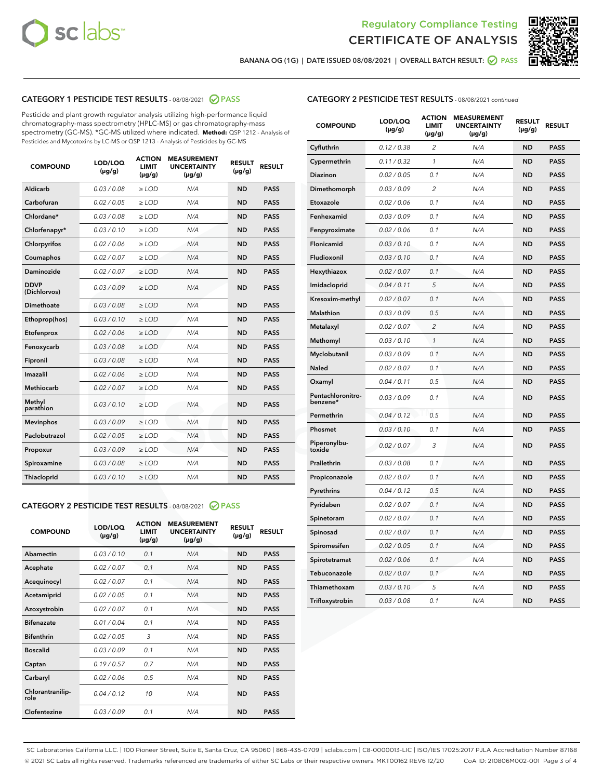



BANANA OG (1G) | DATE ISSUED 08/08/2021 | OVERALL BATCH RESULT:  $\bigcirc$  PASS

# CATEGORY 1 PESTICIDE TEST RESULTS - 08/08/2021 2 PASS

Pesticide and plant growth regulator analysis utilizing high-performance liquid chromatography-mass spectrometry (HPLC-MS) or gas chromatography-mass spectrometry (GC-MS). \*GC-MS utilized where indicated. **Method:** QSP 1212 - Analysis of Pesticides and Mycotoxins by LC-MS or QSP 1213 - Analysis of Pesticides by GC-MS

| <b>COMPOUND</b>             | LOD/LOQ<br>$(\mu g/g)$ | <b>ACTION</b><br><b>LIMIT</b><br>$(\mu g/g)$ | <b>MEASUREMENT</b><br><b>UNCERTAINTY</b><br>$(\mu g/g)$ | <b>RESULT</b><br>$(\mu g/g)$ | <b>RESULT</b> |
|-----------------------------|------------------------|----------------------------------------------|---------------------------------------------------------|------------------------------|---------------|
| Aldicarb                    | 0.03/0.08              | $>$ LOD                                      | N/A                                                     | <b>ND</b>                    | <b>PASS</b>   |
| Carbofuran                  | 0.02 / 0.05            | $\ge$ LOD                                    | N/A                                                     | <b>ND</b>                    | <b>PASS</b>   |
| Chlordane*                  | 0.03/0.08              | $>$ LOD                                      | N/A                                                     | <b>ND</b>                    | <b>PASS</b>   |
| Chlorfenapyr*               | 0.03 / 0.10            | $\ge$ LOD                                    | N/A                                                     | <b>ND</b>                    | <b>PASS</b>   |
| Chlorpyrifos                | 0.02 / 0.06            | $\ge$ LOD                                    | N/A                                                     | <b>ND</b>                    | <b>PASS</b>   |
| Coumaphos                   | 0.02 / 0.07            | $\ge$ LOD                                    | N/A                                                     | <b>ND</b>                    | <b>PASS</b>   |
| Daminozide                  | 0.02 / 0.07            | $\ge$ LOD                                    | N/A                                                     | <b>ND</b>                    | <b>PASS</b>   |
| <b>DDVP</b><br>(Dichlorvos) | 0.03/0.09              | $\ge$ LOD                                    | N/A                                                     | <b>ND</b>                    | <b>PASS</b>   |
| <b>Dimethoate</b>           | 0.03/0.08              | $\ge$ LOD                                    | N/A                                                     | <b>ND</b>                    | <b>PASS</b>   |
| Ethoprop(hos)               | 0.03/0.10              | $\ge$ LOD                                    | N/A                                                     | <b>ND</b>                    | <b>PASS</b>   |
| Etofenprox                  | 0.02 / 0.06            | $\ge$ LOD                                    | N/A                                                     | <b>ND</b>                    | <b>PASS</b>   |
| Fenoxycarb                  | 0.03 / 0.08            | $\ge$ LOD                                    | N/A                                                     | <b>ND</b>                    | <b>PASS</b>   |
| Fipronil                    | 0.03/0.08              | $>$ LOD                                      | N/A                                                     | <b>ND</b>                    | <b>PASS</b>   |
| Imazalil                    | 0.02 / 0.06            | $\ge$ LOD                                    | N/A                                                     | <b>ND</b>                    | <b>PASS</b>   |
| Methiocarb                  | 0.02 / 0.07            | $\ge$ LOD                                    | N/A                                                     | <b>ND</b>                    | <b>PASS</b>   |
| Methyl<br>parathion         | 0.03/0.10              | $\ge$ LOD                                    | N/A                                                     | <b>ND</b>                    | <b>PASS</b>   |
| <b>Mevinphos</b>            | 0.03/0.09              | $\ge$ LOD                                    | N/A                                                     | <b>ND</b>                    | <b>PASS</b>   |
| Paclobutrazol               | 0.02 / 0.05            | $>$ LOD                                      | N/A                                                     | <b>ND</b>                    | <b>PASS</b>   |
| Propoxur                    | 0.03/0.09              | $\ge$ LOD                                    | N/A                                                     | <b>ND</b>                    | <b>PASS</b>   |
| Spiroxamine                 | 0.03 / 0.08            | $\ge$ LOD                                    | N/A                                                     | <b>ND</b>                    | <b>PASS</b>   |
| Thiacloprid                 | 0.03/0.10              | $\ge$ LOD                                    | N/A                                                     | <b>ND</b>                    | <b>PASS</b>   |
|                             |                        |                                              |                                                         |                              |               |

#### CATEGORY 2 PESTICIDE TEST RESULTS - 08/08/2021 @ PASS

| <b>COMPOUND</b>          | LOD/LOQ<br>$(\mu g/g)$ | <b>ACTION</b><br>LIMIT<br>$(\mu g/g)$ | <b>MEASUREMENT</b><br><b>UNCERTAINTY</b><br>$(\mu g/g)$ | <b>RESULT</b><br>$(\mu g/g)$ | <b>RESULT</b> |
|--------------------------|------------------------|---------------------------------------|---------------------------------------------------------|------------------------------|---------------|
| Abamectin                | 0.03/0.10              | 0.1                                   | N/A                                                     | <b>ND</b>                    | <b>PASS</b>   |
| Acephate                 | 0.02/0.07              | 0.1                                   | N/A                                                     | <b>ND</b>                    | <b>PASS</b>   |
| Acequinocyl              | 0.02/0.07              | 0.1                                   | N/A                                                     | <b>ND</b>                    | <b>PASS</b>   |
| Acetamiprid              | 0.02/0.05              | 0.1                                   | N/A                                                     | <b>ND</b>                    | <b>PASS</b>   |
| Azoxystrobin             | 0.02/0.07              | 0.1                                   | N/A                                                     | <b>ND</b>                    | <b>PASS</b>   |
| <b>Bifenazate</b>        | 0.01/0.04              | 0.1                                   | N/A                                                     | <b>ND</b>                    | <b>PASS</b>   |
| <b>Bifenthrin</b>        | 0.02 / 0.05            | 3                                     | N/A                                                     | <b>ND</b>                    | <b>PASS</b>   |
| <b>Boscalid</b>          | 0.03/0.09              | 0.1                                   | N/A                                                     | <b>ND</b>                    | <b>PASS</b>   |
| Captan                   | 0.19/0.57              | 0.7                                   | N/A                                                     | <b>ND</b>                    | <b>PASS</b>   |
| Carbaryl                 | 0.02/0.06              | 0.5                                   | N/A                                                     | <b>ND</b>                    | <b>PASS</b>   |
| Chlorantranilip-<br>role | 0.04/0.12              | 10                                    | N/A                                                     | <b>ND</b>                    | <b>PASS</b>   |
| Clofentezine             | 0.03/0.09              | 0.1                                   | N/A                                                     | <b>ND</b>                    | <b>PASS</b>   |

### CATEGORY 2 PESTICIDE TEST RESULTS - 08/08/2021 continued

| <b>COMPOUND</b>               | LOD/LOQ<br>(µg/g) | <b>ACTION</b><br>LIMIT<br>$(\mu g/g)$ | <b>MEASUREMENT</b><br><b>UNCERTAINTY</b><br>(µg/g) | <b>RESULT</b><br>(µg/g) | <b>RESULT</b> |
|-------------------------------|-------------------|---------------------------------------|----------------------------------------------------|-------------------------|---------------|
| Cyfluthrin                    | 0.12 / 0.38       | 2                                     | N/A                                                | ND                      | <b>PASS</b>   |
| Cypermethrin                  | 0.11 / 0.32       | 1                                     | N/A                                                | ND                      | <b>PASS</b>   |
| Diazinon                      | 0.02 / 0.05       | 0.1                                   | N/A                                                | ND                      | <b>PASS</b>   |
| Dimethomorph                  | 0.03 / 0.09       | $\overline{2}$                        | N/A                                                | <b>ND</b>               | <b>PASS</b>   |
| Etoxazole                     | 0.02 / 0.06       | 0.1                                   | N/A                                                | ND                      | <b>PASS</b>   |
| Fenhexamid                    | 0.03 / 0.09       | 0.1                                   | N/A                                                | ND                      | <b>PASS</b>   |
| Fenpyroximate                 | 0.02 / 0.06       | 0.1                                   | N/A                                                | <b>ND</b>               | <b>PASS</b>   |
| Flonicamid                    | 0.03 / 0.10       | 0.1                                   | N/A                                                | <b>ND</b>               | <b>PASS</b>   |
| Fludioxonil                   | 0.03 / 0.10       | 0.1                                   | N/A                                                | <b>ND</b>               | <b>PASS</b>   |
| Hexythiazox                   | 0.02 / 0.07       | 0.1                                   | N/A                                                | <b>ND</b>               | <b>PASS</b>   |
| Imidacloprid                  | 0.04 / 0.11       | 5                                     | N/A                                                | <b>ND</b>               | <b>PASS</b>   |
| Kresoxim-methyl               | 0.02 / 0.07       | 0.1                                   | N/A                                                | ND                      | <b>PASS</b>   |
| Malathion                     | 0.03 / 0.09       | 0.5                                   | N/A                                                | <b>ND</b>               | <b>PASS</b>   |
| Metalaxyl                     | 0.02 / 0.07       | $\overline{c}$                        | N/A                                                | <b>ND</b>               | <b>PASS</b>   |
| Methomyl                      | 0.03 / 0.10       | 1                                     | N/A                                                | ND                      | <b>PASS</b>   |
| Myclobutanil                  | 0.03/0.09         | 0.1                                   | N/A                                                | <b>ND</b>               | <b>PASS</b>   |
| Naled                         | 0.02 / 0.07       | 0.1                                   | N/A                                                | ND                      | <b>PASS</b>   |
| Oxamyl                        | 0.04 / 0.11       | 0.5                                   | N/A                                                | ND                      | <b>PASS</b>   |
| Pentachloronitro-<br>benzene* | 0.03 / 0.09       | 0.1                                   | N/A                                                | ND                      | <b>PASS</b>   |
| Permethrin                    | 0.04/0.12         | 0.5                                   | N/A                                                | <b>ND</b>               | <b>PASS</b>   |
| Phosmet                       | 0.03 / 0.10       | 0.1                                   | N/A                                                | ND                      | <b>PASS</b>   |
| Piperonylbu-<br>toxide        | 0.02 / 0.07       | 3                                     | N/A                                                | <b>ND</b>               | <b>PASS</b>   |
| Prallethrin                   | 0.03 / 0.08       | 0.1                                   | N/A                                                | <b>ND</b>               | <b>PASS</b>   |
| Propiconazole                 | 0.02 / 0.07       | 0.1                                   | N/A                                                | ND                      | <b>PASS</b>   |
| Pyrethrins                    | 0.04 / 0.12       | 0.5                                   | N/A                                                | ND                      | <b>PASS</b>   |
| Pyridaben                     | 0.02 / 0.07       | 0.1                                   | N/A                                                | <b>ND</b>               | <b>PASS</b>   |
| Spinetoram                    | 0.02 / 0.07       | 0.1                                   | N/A                                                | ND                      | <b>PASS</b>   |
| Spinosad                      | 0.02 / 0.07       | 0.1                                   | N/A                                                | ND                      | <b>PASS</b>   |
| Spiromesifen                  | 0.02 / 0.05       | 0.1                                   | N/A                                                | <b>ND</b>               | <b>PASS</b>   |
| Spirotetramat                 | 0.02 / 0.06       | 0.1                                   | N/A                                                | ND                      | <b>PASS</b>   |
| Tebuconazole                  | 0.02 / 0.07       | 0.1                                   | N/A                                                | ND                      | <b>PASS</b>   |
| Thiamethoxam                  | 0.03 / 0.10       | 5                                     | N/A                                                | <b>ND</b>               | <b>PASS</b>   |
| Trifloxystrobin               | 0.03 / 0.08       | 0.1                                   | N/A                                                | <b>ND</b>               | <b>PASS</b>   |

SC Laboratories California LLC. | 100 Pioneer Street, Suite E, Santa Cruz, CA 95060 | 866-435-0709 | sclabs.com | C8-0000013-LIC | ISO/IES 17025:2017 PJLA Accreditation Number 87168 © 2021 SC Labs all rights reserved. Trademarks referenced are trademarks of either SC Labs or their respective owners. MKT00162 REV6 12/20 CoA ID: 210806M002-001 Page 3 of 4